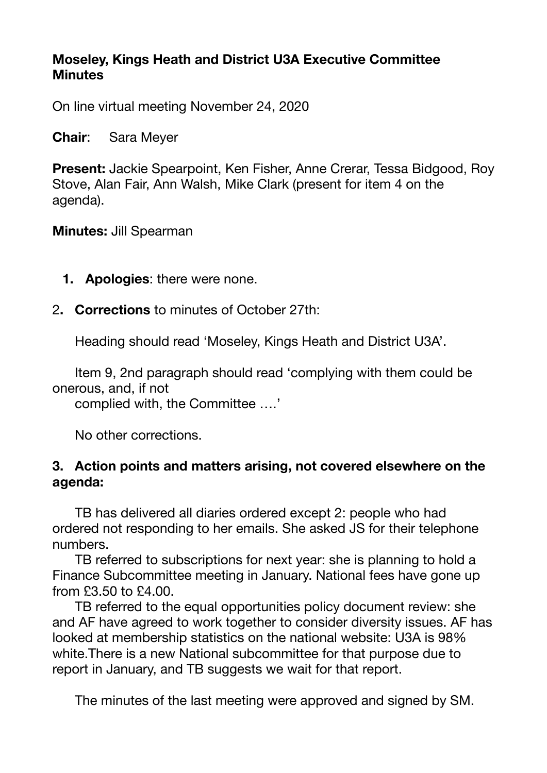#### **Moseley, Kings Heath and District U3A Executive Committee Minutes**

On line virtual meeting November 24, 2020

**Chair**: Sara Meyer

**Present:** Jackie Spearpoint, Ken Fisher, Anne Crerar, Tessa Bidgood, Roy Stove, Alan Fair, Ann Walsh, Mike Clark (present for item 4 on the agenda).

**Minutes:** Jill Spearman

- **1. Apologies**: there were none.
- 2**. Corrections** to minutes of October 27th:

Heading should read 'Moseley, Kings Heath and District U3A'.

 Item 9, 2nd paragraph should read 'complying with them could be onerous, and, if not

complied with, the Committee ….'

No other corrections.

#### **3. Action points and matters arising, not covered elsewhere on the agenda:**

 TB has delivered all diaries ordered except 2: people who had ordered not responding to her emails. She asked JS for their telephone numbers.

 TB referred to subscriptions for next year: she is planning to hold a Finance Subcommittee meeting in January. National fees have gone up from £3.50 to £4.00.

 TB referred to the equal opportunities policy document review: she and AF have agreed to work together to consider diversity issues. AF has looked at membership statistics on the national website: U3A is 98% white.There is a new National subcommittee for that purpose due to report in January, and TB suggests we wait for that report.

The minutes of the last meeting were approved and signed by SM.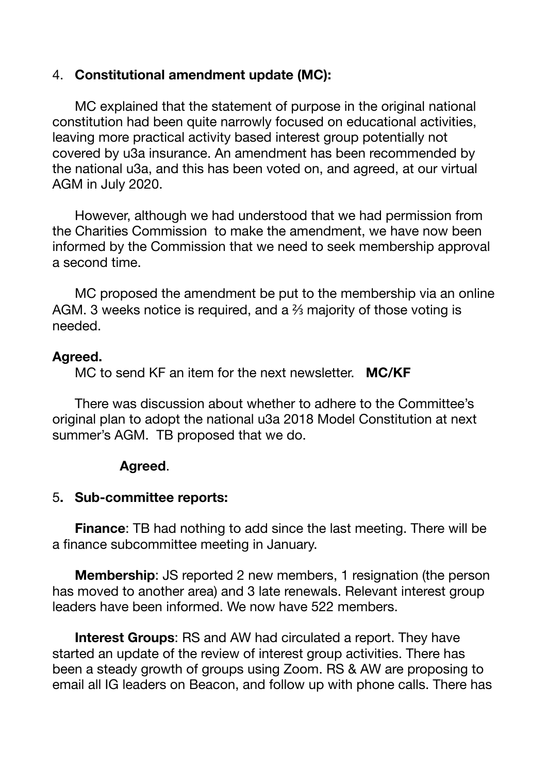#### 4. **Constitutional amendment update (MC):**

 MC explained that the statement of purpose in the original national constitution had been quite narrowly focused on educational activities, leaving more practical activity based interest group potentially not covered by u3a insurance. An amendment has been recommended by the national u3a, and this has been voted on, and agreed, at our virtual AGM in July 2020.

 However, although we had understood that we had permission from the Charities Commission to make the amendment, we have now been informed by the Commission that we need to seek membership approval a second time.

 MC proposed the amendment be put to the membership via an online AGM. 3 weeks notice is required, and a ⅔ majority of those voting is needed.

#### **Agreed.**

MC to send KF an item for the next newsletter. **MC/KF**

 There was discussion about whether to adhere to the Committee's original plan to adopt the national u3a 2018 Model Constitution at next summer's AGM. TB proposed that we do.

#### **Agreed**.

#### 5**. Sub-committee reports:**

**Finance:** TB had nothing to add since the last meeting. There will be a finance subcommittee meeting in January.

**Membership**: JS reported 2 new members, 1 resignation (the person has moved to another area) and 3 late renewals. Relevant interest group leaders have been informed. We now have 522 members.

 **Interest Groups**: RS and AW had circulated a report. They have started an update of the review of interest group activities. There has been a steady growth of groups using Zoom. RS & AW are proposing to email all IG leaders on Beacon, and follow up with phone calls. There has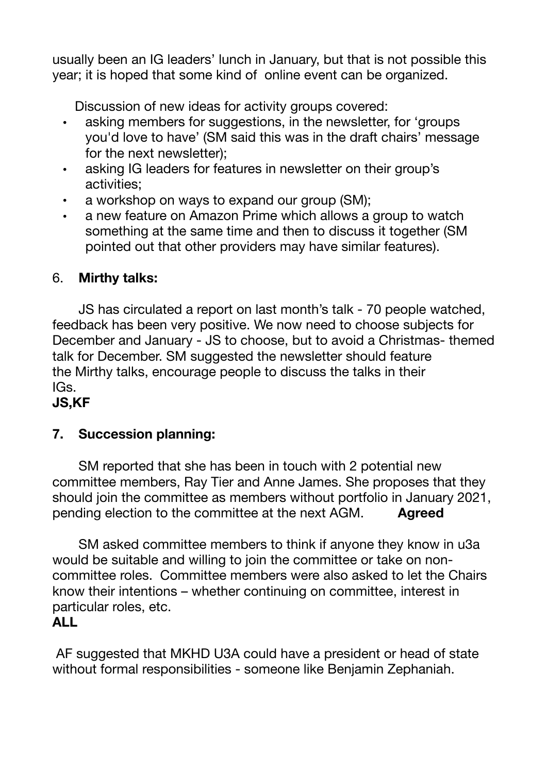usually been an IG leaders' lunch in January, but that is not possible this year; it is hoped that some kind of online event can be organized.

Discussion of new ideas for activity groups covered:

- asking members for suggestions, in the newsletter, for 'groups you'd love to have' (SM said this was in the draft chairs' message for the next newsletter);
- asking IG leaders for features in newsletter on their group's activities;
- a workshop on ways to expand our group (SM);
- a new feature on Amazon Prime which allows a group to watch something at the same time and then to discuss it together (SM pointed out that other providers may have similar features).

# 6. **Mirthy talks:**

 JS has circulated a report on last month's talk - 70 people watched, feedback has been very positive. We now need to choose subjects for December and January - JS to choose, but to avoid a Christmas- themed talk for December. SM suggested the newsletter should feature the Mirthy talks, encourage people to discuss the talks in their  $IGs.$ 

**JS,KF**

# **7. Succession planning:**

 SM reported that she has been in touch with 2 potential new committee members, Ray Tier and Anne James. She proposes that they should join the committee as members without portfolio in January 2021, pending election to the committee at the next AGM. **Agreed**

 SM asked committee members to think if anyone they know in u3a would be suitable and willing to join the committee or take on noncommittee roles. Committee members were also asked to let the Chairs know their intentions – whether continuing on committee, interest in particular roles, etc. **ALL**

AF suggested that MKHD U3A could have a president or head of state without formal responsibilities - someone like Benjamin Zephaniah.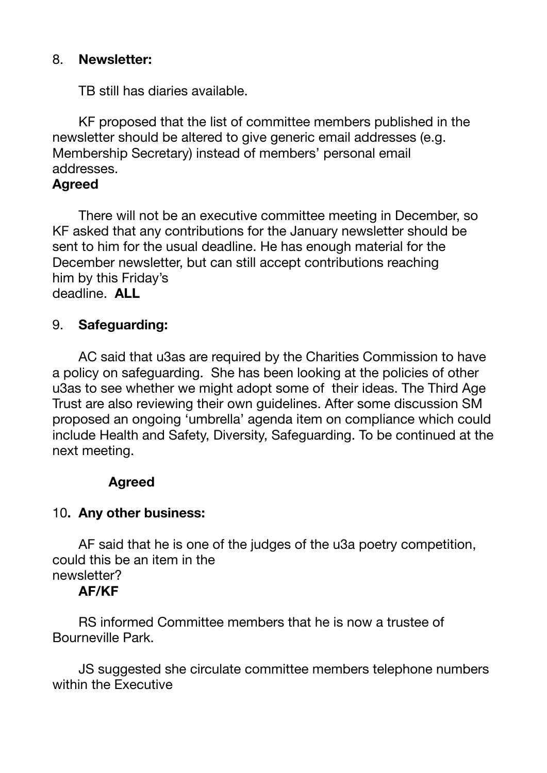## 8. **Newsletter:**

TB still has diaries available.

 KF proposed that the list of committee members published in the newsletter should be altered to give generic email addresses (e.g. Membership Secretary) instead of members' personal email addresses.

## **Agreed**

 There will not be an executive committee meeting in December, so KF asked that any contributions for the January newsletter should be sent to him for the usual deadline. He has enough material for the December newsletter, but can still accept contributions reaching him by this Friday's deadline. **ALL** 

## 9. **Safeguarding:**

 AC said that u3as are required by the Charities Commission to have a policy on safeguarding. She has been looking at the policies of other u3as to see whether we might adopt some of their ideas. The Third Age Trust are also reviewing their own guidelines. After some discussion SM proposed an ongoing 'umbrella' agenda item on compliance which could include Health and Safety, Diversity, Safeguarding. To be continued at the next meeting.

# **Agreed**

# 10**. Any other business:**

 AF said that he is one of the judges of the u3a poetry competition, could this be an item in the newsletter?

#### **AF/KF**

 RS informed Committee members that he is now a trustee of Bourneville Park.

 JS suggested she circulate committee members telephone numbers within the Executive